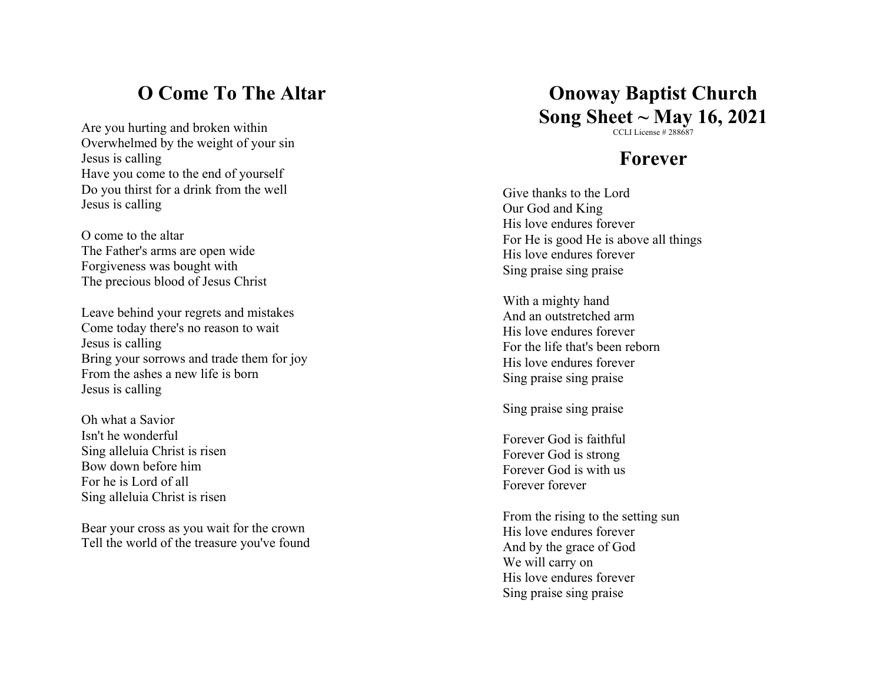# **O Come To The Altar**

Are you hurting and broken within Overwhelmed by the weight of your sin Jesus is calling Have you come to the end of yourself Do you thirst for a drink from the well Jesus is calling

O come to the altar The Father's arms are open wide Forgiveness was bought with The precious blood of Jesus Christ

Leave behind your regrets and mistakes Come today there's no reason to wait Jesus is calling Bring your sorrows and trade them for joy From the ashes a new life is born Jesus is calling

Oh what a Savior Isn't he wonderful Sing alleluia Christ is risen Bow down before him For he is Lord of all Sing alleluia Christ is risen

Bear your cross as you wait for the crown Tell the world of the treasure you've found

#### **Onoway Baptist Church Song Sheet ~ May 16, 2021** CCLI License # 288687

### **Forever**

Give thanks to the Lord Our God and King His love endures forever For He is good He is above all things His love endures forever Sing praise sing praise

With a mighty hand And an outstretched arm His love endures forever For the life that's been reborn His love endures forever Sing praise sing praise

Sing praise sing praise

Forever God is faithful Forever God is strong Forever God is with us Forever forever

From the rising to the setting sun His love endures forever And by the grace of God We will carry on His love endures forever Sing praise sing praise